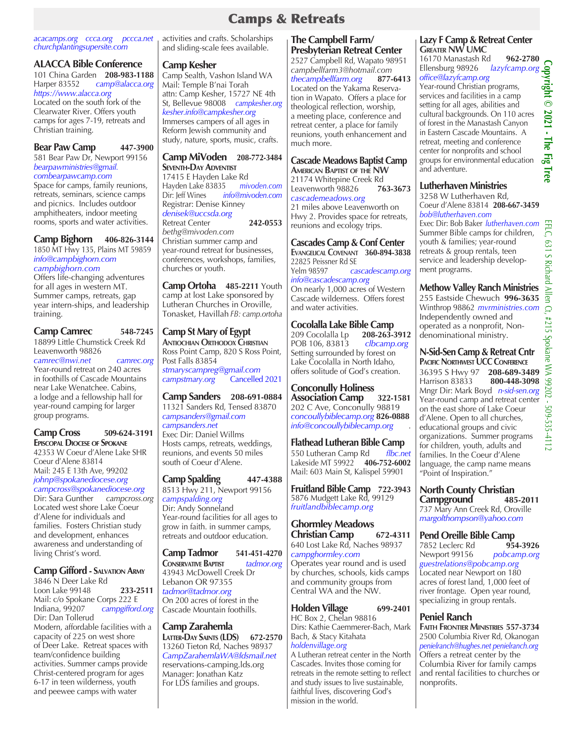### Camps & Retreats

### *acacamps.org ccca.org pccca.net churchplantingsupersite.com*

### **ALACCA Bible Conference**

101 China Garden **208-983-1188** Harper 83552 *camp@alacca.org https://www.alacca.org* Located on the south fork of the Clearwater River. Offers youth camps for ages 7-19, retreats and Christian training.

### **Bear Paw Camp 447-3900**

581 Bear Paw Dr, Newport 99156 *bearpawministries@gmail. combearpawcamp.com*

Space for camps, family reunions, retreats, seminars, science camps and picnics. Includes outdoor amphitheaters, indoor meeting rooms, sports and water activities.

### **Camp Bighorn 406-826-3144**

1850 MT Hwy 135, Plains MT 59859 *info@campbighorn.com campbighorn.com*

Offers life-changing adventures for all ages in western MT. Summer camps, retreats, gap year intern-ships, and leadership training.

### **Camp Camrec 548-7245**

18899 Little Chumstick Creek Rd Leavenworth 98826

*camrec@nwi.net camrec.org* Year-round retreat on 240 acres in foothills of Cascade Mountains near Lake Wenatchee. Cabins, a lodge and a fellowship hall for year-round camping for larger group programs.

### **Camp Cross 509-624-3191 Episcopal Diocese of Spokane**

42353 W Coeur d'Alene Lake SHR Coeur d'Alene 83814 Mail: 245 E 13th Ave, 99202 *johnp@spokanediocese.org campcross@spokanediocese.org* Dir: Sara Gunther *campcross.org* Located west shore Lake Coeur d'Alene for individuals and families. Fosters Christian study and development, enhances awareness and understanding of living Christ's word.

### **Camp Gifford - Salvation Army**

3846 N Deer Lake Rd Loon Lake 99148 **233-2511** Mail: c/o Spokane Corps 222 E<br>Indiana, 99207 campgifford campgifford.org Dir: Dan Tollerud Modern, affordable facilities with a capacity of 225 on west shore of Deer Lake. Retreat spaces with team/confidence building activities. Summer camps provide Christ-centered program for ages 6-17 in teen wilderness, youth and peewee camps with water

activities and crafts. Scholarships and sliding-scale fees available.

### **Camp Kesher**

Camp Sealth, Vashon Island WA Mail: Temple B'nai Torah attn: Camp Kesher, 15727 NE 4th St, Bellevue 98008 *campkesher.org kesher.info@campkesher.org*  Immerses campers of all ages in Reform Jewish community and study, nature, sports, music, crafts.

### **Camp MiVoden 208-772-3484 Seventh-Day Adventist**

17415 E Hayden Lake Rd<br>Havden Lake 83835 mivoden.com Hayden Lake 83835<br>Dir: Jeff Wines *ini* Dir: Jeff Wines *info@mivoden.com* Registrar: Denise Kinney *denisek@uccsda.org* Retreat Center **242-0553** *bethg@mivoden.com* Christian summer camp and year-round retreat for businesses, conferences, workshops, families, churches or youth.

**Camp Ortoha 485-2211** Youth camp at lost Lake sponsored by Lutheran Churches in Oroville, Tonasket, Havillah *FB: camp.ortoha*

### **Camp St Mary of Egypt**

**Antiochian Orthodox Christian** Ross Point Camp, 820 S Ross Point, Post Falls 83854 *stmaryscampreg@gmail.com campstmary.org* 

**Camp Sanders 208-691-0884** 11321 Sanders Rd, Tensed 83870 *campsanders@gmail.com campsanders.net* Exec Dir: Daniel Willms Hosts camps, retreats, weddings, reunions, and events 50 miles south of Coeur d'Alene.

# **Camp Spalding 447-4388**

8513 Hwy 211, Newport 99156 *campspalding.org* Dir: Andy Sonneland Year-round facilities for all ages to grow in faith. in summer camps, retreats and outdoor education.

### **Camp Tadmor 541-451-4270**

**Conservative Baptist** *tadmor.org* 43943 McDowell Creek Dr Lebanon OR 97355 *tadmor@tadmor.org* On 200 acres of forest in the Cascade Mountain foothills.

### **Camp Zarahemla Latter-Day Saints (LDS) 672-2570** 13260 Tieton Rd, Naches 98937 *CampZarahemlaWA@ldsmail.net* reservations-camping.lds.org Manager: Jonathan Katz For LDS families and groups.

### **The Campbell Farm/ Presbyterian Retreat Center**

2527 Campbell Rd, Wapato 98951 *campbellfarm3@hotmail.com thecampbellfarm.org* **877-6413** Located on the Yakama Reservation in Wapato. Offers a place for theological reflection, worship, a meeting place, conference and retreat center, a place for family reunions, youth enhancement and much more.

### **Cascade Meadows Baptist Camp**

**American Baptist of the NW** 21174 Whitepine Creek Rd<br>Leavenworth 98826 763-3673 Leavenworth 98826 *cascademeadows.org* 21 miles above Leavenworth on Hwy 2. Provides space for retreats, reunions and ecology trips.

#### **Cascades Camp & Conf Center Evangelical Covenant 360-894-3838**

22825 Peissner Rd SE Yelm 98597 *cascadescamp.org info@cascadescamp.org* On nearly 1,000 acres of Western

Cascade wilderness. Offers forest and water activities.

# **Cocolalla Lake Bible Camp**

209 Cocolalla Lp **208-263-3912**  POB 106, 83813 *clbcamp.org*  Setting surrounded by forest on Lake Cocolalla in North Idaho, offers solitude of God's creation.

# **Conconully Holiness**

**Association Camp** 202 C Ave, Conconully 98819 *concoullybiblecamp.org* **826-0888** *info@concoullybiblecamp.org* .

**Flathead Lutheran Bible Camp**<br>550 Lutheran Camp Rd flbc.net 550 Lutheran Camp Rd Lakeside MT 59922 **406-752-6002** Mail: 603 Main St, Kalispel 59901

**Fruitland Bible Camp 722-3943** 5876 Mudgett Lake Rd, 99129 *fruitlandbiblecamp.org*

### **Ghormley Meadows Christian Camp**

640 Lost Lake Rd, Naches 98937 *campghormley.com* Operates year round and is used by churches, schools, kids camps and community groups from Central WA and the NW.

**Holden Village 699-2401** HC Box 2, Chelan 98816 Dirs: Kathie Caemmerer-Bach, Mark Bach, & Stacy Kitahata *holdenvillage.org*  A Lutheran retreat center in the North

Cascades. Invites those coming for retreats in the remote setting to reflect and study issues to live sustainable, faithful lives, discovering God's mission in the world.

### **Lazy F Camp & Retreat Center Greater NW UMC**

16170 Manastash Rd **962-2780** Ellensburg 98926 *lazyfcamp.org office@lazyfcamp.org*  **Copyright © 2021 - The Fig Tree** 

Year-round Christian programs, services and facilities in a camp setting for all ages, abilities and cultural backgrounds. On 110 acres of forest in the Manastash Canyon in Eastern Cascade Mountains. A retreat, meeting and conference center for nonprofits and school groups for environmental education and adventure.

# **Lutherhaven Ministries**

3258 W Lutherhaven Rd, Coeur d'Alene 83814 **208-667-3459** *bob@lutherhaven.com*

Exec Dir: Bob Baker *lutherhaven.com* Summer Bible camps for children, youth & families; year-round retreats & group rentals, teen service and leadership development programs.

### **Methow Valley Ranch Ministries**

255 Eastside Chewuch **996-3635** Winthrop 98862 *mvrministries.com* Independently owned and operated as a nonprofit, Nondenominational ministry.

# **N-Sid-Sen Camp & Retreat Cntr**

**PACIFIC NORTHWEST UCC CONFERENC** 36395 S Hwy 97 **208-689-3489** Harrison 83833 **800-448-3098**  Mngr Dir: Mark Boyd *n-sid-sen.org* Year-round camp and retreat center on the east shore of Lake Coeur d'Alene. Open to all churches, educational groups and civic organizations. Summer programs for children, youth, adults and families. In the Coeur d'Alene language, the camp name means "Point of Inspiration."

**North County Christian Campground** 737 Mary Ann Creek Rd, Oroville *margolthompson@yahoo.com*

**Pend Oreille Bible Camp**<br>7852 Leclerc Rd **954-3926** 7852 Leclerc Rd Newport 99156 *pobcamp.org guestrelations@pobcamp.org*  Located near Newport on 180 acres of forest land, 1,000 feet of river frontage. Open year round, specializing in group rentals.

### **Peniel Ranch**

**Faith Frontier Ministries 557-3734** 2500 Columbia River Rd, Okanogan *penielranch@hughes.net penielranch.org* Offers a retreat center by the Columbia River for family camps and rental facilities to churches or nonprofits.